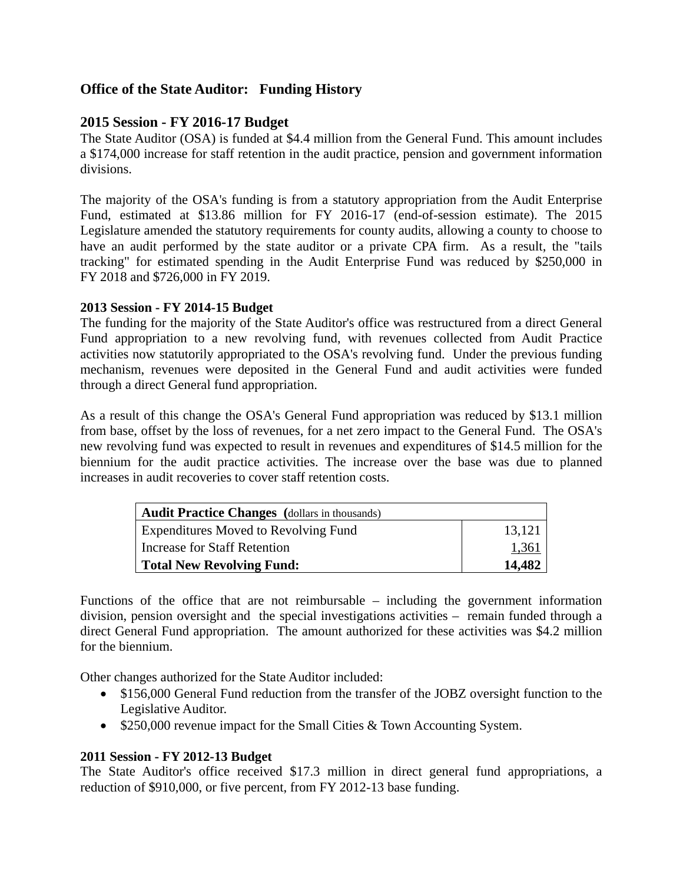# **Office of the State Auditor: Funding History**

# **2015 Session - FY 2016-17 Budget**

The State Auditor (OSA) is funded at \$4.4 million from the General Fund. This amount includes a \$174,000 increase for staff retention in the audit practice, pension and government information divisions.

The majority of the OSA's funding is from a statutory appropriation from the Audit Enterprise Fund, estimated at \$13.86 million for FY 2016-17 (end-of-session estimate). The 2015 Legislature amended the statutory requirements for county audits, allowing a county to choose to have an audit performed by the state auditor or a private CPA firm. As a result, the "tails tracking" for estimated spending in the Audit Enterprise Fund was reduced by \$250,000 in FY 2018 and \$726,000 in FY 2019.

## **2013 Session - FY 2014-15 Budget**

The funding for the majority of the State Auditor's office was restructured from a direct General Fund appropriation to a new revolving fund, with revenues collected from Audit Practice activities now statutorily appropriated to the OSA's revolving fund. Under the previous funding mechanism, revenues were deposited in the General Fund and audit activities were funded through a direct General fund appropriation.

As a result of this change the OSA's General Fund appropriation was reduced by \$13.1 million from base, offset by the loss of revenues, for a net zero impact to the General Fund. The OSA's new revolving fund was expected to result in revenues and expenditures of \$14.5 million for the biennium for the audit practice activities. The increase over the base was due to planned increases in audit recoveries to cover staff retention costs.

| Audit Practice Changes (dollars in thousands) |        |
|-----------------------------------------------|--------|
| <b>Expenditures Moved to Revolving Fund</b>   | 13,121 |
| Increase for Staff Retention                  | 1,361  |
| Total New Revolving Fund:                     | 14,482 |

Functions of the office that are not reimbursable – including the government information division, pension oversight and the special investigations activities – remain funded through a direct General Fund appropriation. The amount authorized for these activities was \$4.2 million for the biennium.

Other changes authorized for the State Auditor included:

- \$156,000 General Fund reduction from the transfer of the JOBZ oversight function to the Legislative Auditor.
- \$250,000 revenue impact for the Small Cities & Town Accounting System.

## **2011 Session - FY 2012-13 Budget**

The State Auditor's office received \$17.3 million in direct general fund appropriations, a reduction of \$910,000, or five percent, from FY 2012-13 base funding.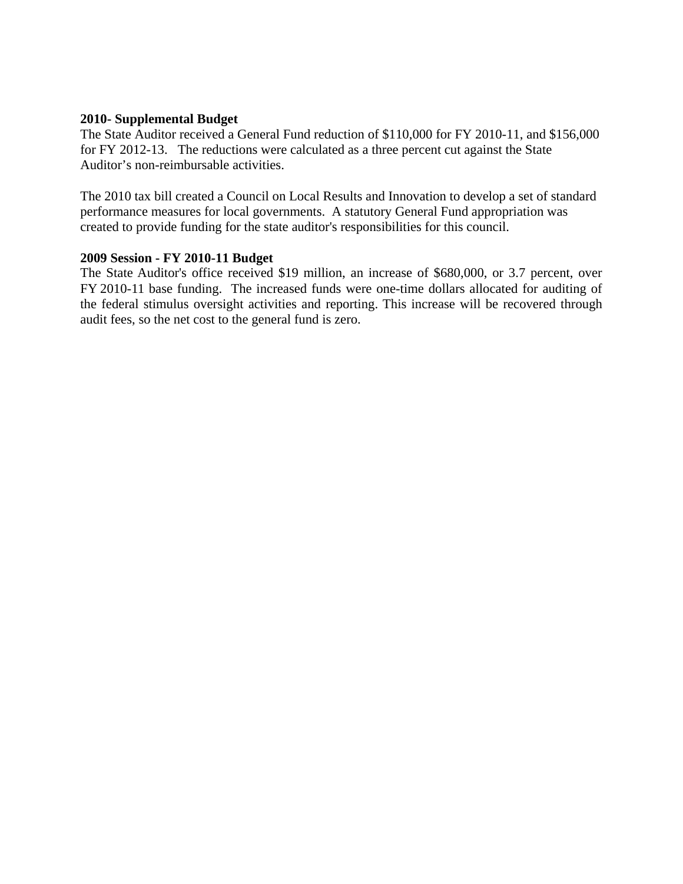#### **2010- Supplemental Budget**

The State Auditor received a General Fund reduction of \$110,000 for FY 2010-11, and \$156,000 for FY 2012-13. The reductions were calculated as a three percent cut against the State Auditor's non-reimbursable activities.

The 2010 tax bill created a Council on Local Results and Innovation to develop a set of standard performance measures for local governments. A statutory General Fund appropriation was created to provide funding for the state auditor's responsibilities for this council.

#### **2009 Session - FY 2010-11 Budget**

The State Auditor's office received \$19 million, an increase of \$680,000, or 3.7 percent, over FY 2010-11 base funding. The increased funds were one-time dollars allocated for auditing of the federal stimulus oversight activities and reporting. This increase will be recovered through audit fees, so the net cost to the general fund is zero.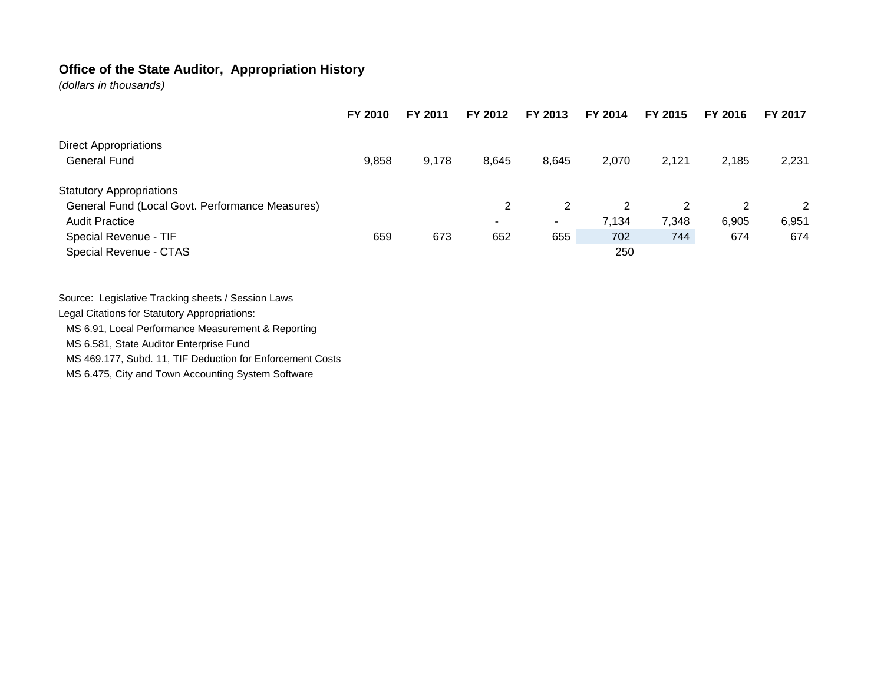## **Office of the State Auditor, Appropriation History**

*(dollars in thousands)*

|                                                     | FY 2010 | FY 2011 | FY 2012                  | FY 2013                  | FY 2014 | FY 2015 | FY 2016 | FY 2017 |
|-----------------------------------------------------|---------|---------|--------------------------|--------------------------|---------|---------|---------|---------|
| <b>Direct Appropriations</b><br><b>General Fund</b> | 9,858   | 9,178   | 8,645                    | 8,645                    | 2,070   | 2,121   | 2,185   | 2,231   |
| <b>Statutory Appropriations</b>                     |         |         |                          |                          |         |         |         |         |
| General Fund (Local Govt. Performance Measures)     |         |         | 2                        | 2                        | 2       | 2       | 2       | 2       |
| <b>Audit Practice</b>                               |         |         | $\overline{\phantom{a}}$ | $\overline{\phantom{a}}$ | 7,134   | 7,348   | 6,905   | 6,951   |
| Special Revenue - TIF                               | 659     | 673     | 652                      | 655                      | 702     | 744     | 674     | 674     |
| Special Revenue - CTAS                              |         |         |                          |                          | 250     |         |         |         |

Source: Legislative Tracking sheets / Session Laws Legal Citations for Statutory Appropriations: MS 6.91, Local Performance Measurement & Reporting MS 6.581, State Auditor Enterprise Fund MS 469.177, Subd. 11, TIF Deduction for Enforcement Costs

MS 6.475, City and Town Accounting System Software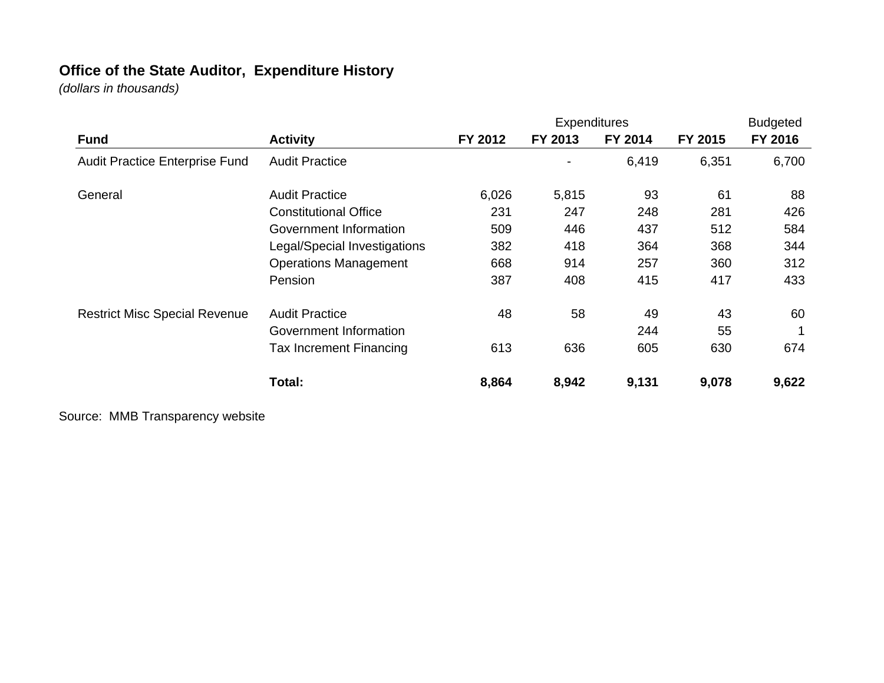# **Office of the State Auditor, Expenditure History**

*(dollars in thousands)*

|                                      |                                |         | <b>Expenditures</b> |         |         | <b>Budgeted</b> |
|--------------------------------------|--------------------------------|---------|---------------------|---------|---------|-----------------|
| <b>Fund</b>                          | <b>Activity</b>                | FY 2012 | FY 2013             | FY 2014 | FY 2015 | FY 2016         |
| Audit Practice Enterprise Fund       | <b>Audit Practice</b>          |         |                     | 6,419   | 6,351   | 6,700           |
| General                              | <b>Audit Practice</b>          | 6,026   | 5,815               | 93      | 61      | 88              |
|                                      | <b>Constitutional Office</b>   | 231     | 247                 | 248     | 281     | 426             |
|                                      | Government Information         | 509     | 446                 | 437     | 512     | 584             |
|                                      | Legal/Special Investigations   | 382     | 418                 | 364     | 368     | 344             |
|                                      | <b>Operations Management</b>   | 668     | 914                 | 257     | 360     | 312             |
|                                      | Pension                        | 387     | 408                 | 415     | 417     | 433             |
| <b>Restrict Misc Special Revenue</b> | <b>Audit Practice</b>          | 48      | 58                  | 49      | 43      | 60              |
|                                      | Government Information         |         |                     | 244     | 55      |                 |
|                                      | <b>Tax Increment Financing</b> | 613     | 636                 | 605     | 630     | 674             |
|                                      | Total:                         | 8,864   | 8,942               | 9,131   | 9,078   | 9,622           |

Source: MMB Transparency website